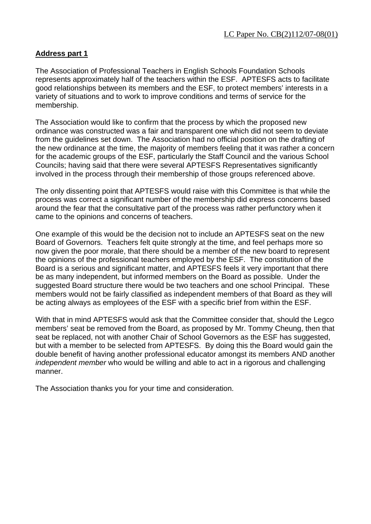## **Address part 1**

The Association of Professional Teachers in English Schools Foundation Schools represents approximately half of the teachers within the ESF. APTESFS acts to facilitate good relationships between its members and the ESF, to protect members' interests in a variety of situations and to work to improve conditions and terms of service for the membership.

The Association would like to confirm that the process by which the proposed new ordinance was constructed was a fair and transparent one which did not seem to deviate from the guidelines set down. The Association had no official position on the drafting of the new ordinance at the time, the majority of members feeling that it was rather a concern for the academic groups of the ESF, particularly the Staff Council and the various School Councils; having said that there were several APTESFS Representatives significantly involved in the process through their membership of those groups referenced above.

The only dissenting point that APTESFS would raise with this Committee is that while the process was correct a significant number of the membership did express concerns based around the fear that the consultative part of the process was rather perfunctory when it came to the opinions and concerns of teachers.

One example of this would be the decision not to include an APTESFS seat on the new Board of Governors. Teachers felt quite strongly at the time, and feel perhaps more so now given the poor morale, that there should be a member of the new board to represent the opinions of the professional teachers employed by the ESF. The constitution of the Board is a serious and significant matter, and APTESFS feels it very important that there be as many independent, but informed members on the Board as possible. Under the suggested Board structure there would be two teachers and one school Principal. These members would not be fairly classified as independent members of that Board as they will be acting always as employees of the ESF with a specific brief from within the ESF.

With that in mind APTESFS would ask that the Committee consider that, should the Legco members' seat be removed from the Board, as proposed by Mr. Tommy Cheung, then that seat be replaced, not with another Chair of School Governors as the ESF has suggested, but with a member to be selected from APTESFS. By doing this the Board would gain the double benefit of having another professional educator amongst its members AND another *independent member* who would be willing and able to act in a rigorous and challenging manner.

The Association thanks you for your time and consideration.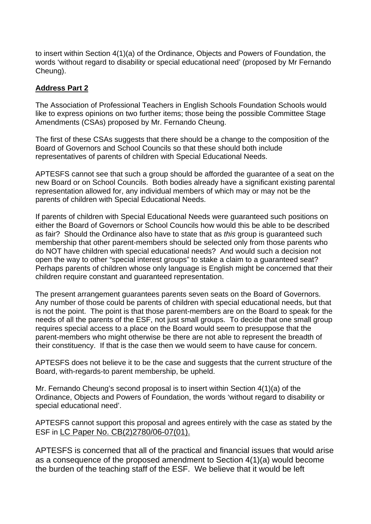to insert within Section 4(1)(a) of the Ordinance, Objects and Powers of Foundation, the words 'without regard to disability or special educational need' (proposed by Mr Fernando Cheung).

## **Address Part 2**

The Association of Professional Teachers in English Schools Foundation Schools would like to express opinions on two further items; those being the possible Committee Stage Amendments (CSAs) proposed by Mr. Fernando Cheung.

The first of these CSAs suggests that there should be a change to the composition of the Board of Governors and School Councils so that these should both include representatives of parents of children with Special Educational Needs.

APTESFS cannot see that such a group should be afforded the guarantee of a seat on the new Board or on School Councils. Both bodies already have a significant existing parental representation allowed for, any individual members of which may or may not be the parents of children with Special Educational Needs.

If parents of children with Special Educational Needs were guaranteed such positions on either the Board of Governors or School Councils how would this be able to be described as fair? Should the Ordinance also have to state that as *this* group is guaranteed such membership that other parent-members should be selected only from those parents who do NOT have children with special educational needs? And would such a decision not open the way to other "special interest groups" to stake a claim to a guaranteed seat? Perhaps parents of children whose only language is English might be concerned that their children require constant and guaranteed representation.

The present arrangement guarantees parents seven seats on the Board of Governors. Any number of those could be parents of children with special educational needs, but that is not the point. The point is that those parent-members are on the Board to speak for the needs of all the parents of the ESF, not just small groups. To decide that one small group requires special access to a place on the Board would seem to presuppose that the parent-members who might otherwise be there are not able to represent the breadth of their constituency. If that is the case then we would seem to have cause for concern.

APTESFS does not believe it to be the case and suggests that the current structure of the Board, with-regards-to parent membership, be upheld.

Mr. Fernando Cheung's second proposal is to insert within Section 4(1)(a) of the Ordinance, Objects and Powers of Foundation, the words 'without regard to disability or special educational need'.

APTESFS cannot support this proposal and agrees entirely with the case as stated by the ESF in LC Paper No. CB(2)2780/06-07(01).

APTESFS is concerned that all of the practical and financial issues that would arise as a consequence of the proposed amendment to Section 4(1)(a) would become the burden of the teaching staff of the ESF. We believe that it would be left